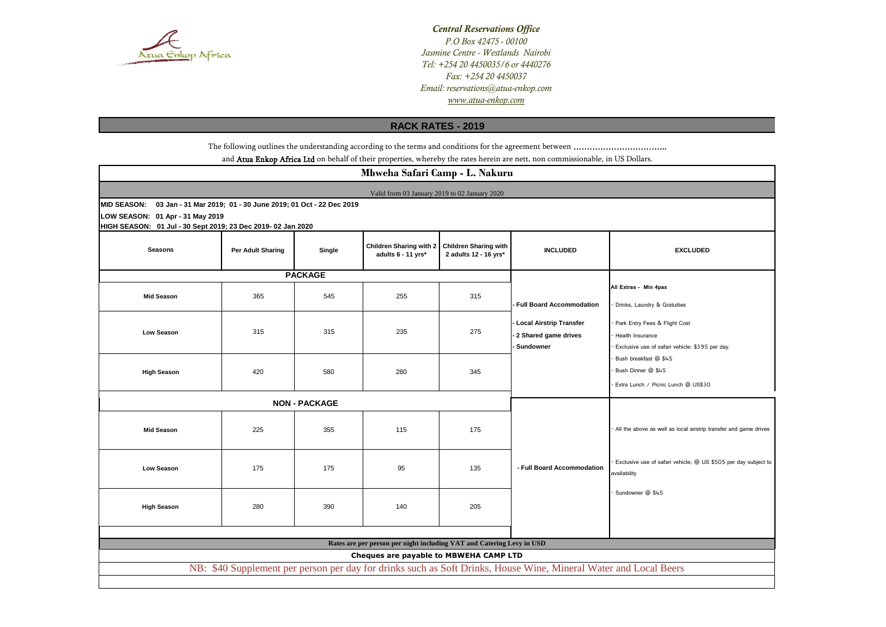

*Central Reservations Office P.O Box 42475 - 00100 Jasmine Centre - Westlands Nairobi www.atua-enkop.com Tel: +254 20 4450035/6 or 4440276 Fax: +254 20 4450037 Email: reservations@atua-enkop.com*

# **RACK RATES - 2019**

The following outlines the understanding according to the terms and conditions for the agreement between ……………………………..

and Atua Enkop Africa Ltd on behalf of their properties, whereby the rates herein are nett, non commissionable, in US Dollars.

| Mbweha Safari Camp - L. Nakuru                                                                                                                             |                   |                      |                                                      |                                                       |                                 |                                                                                |
|------------------------------------------------------------------------------------------------------------------------------------------------------------|-------------------|----------------------|------------------------------------------------------|-------------------------------------------------------|---------------------------------|--------------------------------------------------------------------------------|
| Valid from 03 January 2019 to 02 January 2020                                                                                                              |                   |                      |                                                      |                                                       |                                 |                                                                                |
| 03 Jan - 31 Mar 2019; 01 - 30 June 2019; 01 Oct - 22 Dec 2019<br><b>MID SEASON:</b>                                                                        |                   |                      |                                                      |                                                       |                                 |                                                                                |
| LOW SEASON: 01 Apr - 31 May 2019<br>HIGH SEASON: 01 Jul - 30 Sept 2019; 23 Dec 2019- 02 Jan 2020                                                           |                   |                      |                                                      |                                                       |                                 |                                                                                |
| <b>Seasons</b>                                                                                                                                             | Per Adult Sharing | Single               | <b>Children Sharing with 2</b><br>adults 6 - 11 yrs* | <b>Children Sharing with</b><br>2 adults 12 - 16 yrs* | <b>INCLUDED</b>                 | <b>EXCLUDED</b>                                                                |
|                                                                                                                                                            |                   | <b>PACKAGE</b>       |                                                      |                                                       |                                 |                                                                                |
| <b>Mid Season</b>                                                                                                                                          | 365               | 545                  | 255                                                  | 315                                                   |                                 | All Extras - Min 4pax                                                          |
|                                                                                                                                                            |                   |                      |                                                      |                                                       | <b>Full Board Accommodation</b> | Drinks, Laundry & Gratuities                                                   |
|                                                                                                                                                            |                   |                      |                                                      |                                                       | <b>Local Airstrip Transfer</b>  | Park Entry Fees & Flight Cost                                                  |
| Low Season                                                                                                                                                 | 315               | 315                  | 235                                                  | 275                                                   | 2 Shared game drives            | Health Insurance                                                               |
|                                                                                                                                                            |                   |                      |                                                      |                                                       | Sundowner                       | Exclusive use of safari vehicle: \$395 per day.                                |
|                                                                                                                                                            |                   |                      |                                                      |                                                       |                                 | Bush breakfast @ \$45<br>Bush Dinner @ \$45                                    |
| <b>High Season</b>                                                                                                                                         | 420               | 580                  | 280                                                  | 345                                                   |                                 | Extra Lunch / Picnic Lunch @ US\$30                                            |
|                                                                                                                                                            |                   |                      |                                                      |                                                       |                                 |                                                                                |
|                                                                                                                                                            |                   | <b>NON - PACKAGE</b> |                                                      |                                                       |                                 |                                                                                |
| <b>Mid Season</b>                                                                                                                                          | 225               | 355                  | 115                                                  | 175                                                   |                                 | All the above as well as local airstrip transfer and game drives               |
| <b>Low Season</b>                                                                                                                                          | 175               | 175                  | 95                                                   | 135                                                   | - Full Board Accommodation      | Exclusive use of safari vehicle; @ US \$505 per day subject to<br>availability |
| <b>High Season</b>                                                                                                                                         | 280               | 390                  | 140                                                  | 205                                                   |                                 | Sundowner @ \$45                                                               |
|                                                                                                                                                            |                   |                      |                                                      |                                                       |                                 |                                                                                |
| Rates are per person per night including VAT and Catering Levy in USD                                                                                      |                   |                      |                                                      |                                                       |                                 |                                                                                |
| Cheques are payable to MBWEHA CAMP LTD<br>NB: \$40 Supplement per person per day for drinks such as Soft Drinks, House Wine, Mineral Water and Local Beers |                   |                      |                                                      |                                                       |                                 |                                                                                |
|                                                                                                                                                            |                   |                      |                                                      |                                                       |                                 |                                                                                |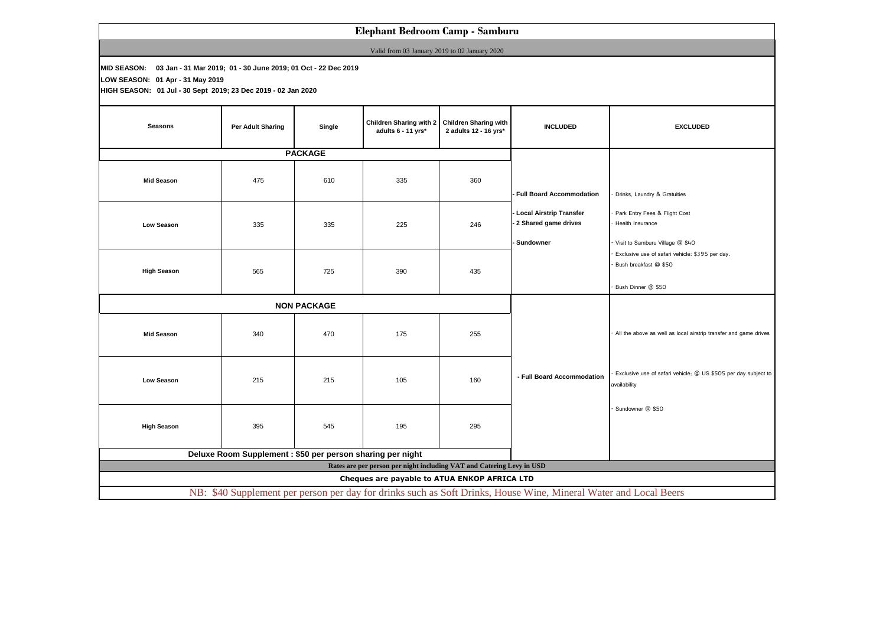# **Elephant Bedroom Camp - Samburu**

Valid from 03 January 2019 to 02 January 2020

**MID SEASON: 03 Jan - 31 Mar 2019; 01 - 30 June 2019; 01 Oct - 22 Dec 2019**

**LOW SEASON: 01 Apr - 31 May 2019**

**HIGH SEASON: 01 Jul - 30 Sept 2019; 23 Dec 2019 - 02 Jan 2020**

| <b>Seasons</b>                                                                                                   | Per Adult Sharing | Single         | <b>Children Sharing with 2</b><br>adults 6 - 11 yrs* | <b>Children Sharing with</b><br>2 adults 12 - 16 yrs* | <b>INCLUDED</b>                                                | <b>EXCLUDED</b>                                                                                |
|------------------------------------------------------------------------------------------------------------------|-------------------|----------------|------------------------------------------------------|-------------------------------------------------------|----------------------------------------------------------------|------------------------------------------------------------------------------------------------|
|                                                                                                                  |                   | <b>PACKAGE</b> |                                                      |                                                       |                                                                |                                                                                                |
| <b>Mid Season</b>                                                                                                | 475               | 610            | 335                                                  | 360                                                   | <b>Full Board Accommodation</b>                                | Drinks, Laundry & Gratuities                                                                   |
| Low Season                                                                                                       | 335               | 335            | 225                                                  | 246                                                   | - Local Airstrip Transfer<br>2 Shared game drives<br>Sundowner | Park Entry Fees & Flight Cost<br>Health Insurance<br>Visit to Samburu Village @ \$40           |
| <b>High Season</b>                                                                                               | 565               | 725            | 390                                                  | 435                                                   |                                                                | Exclusive use of safari vehicle: \$395 per day.<br>Bush breakfast @ \$50<br>Bush Dinner @ \$50 |
| <b>NON PACKAGE</b>                                                                                               |                   |                |                                                      |                                                       |                                                                |                                                                                                |
| <b>Mid Season</b>                                                                                                | 340               | 470            | 175                                                  | 255                                                   |                                                                | All the above as well as local airstrip transfer and game drives                               |
| Low Season                                                                                                       | 215               | 215            | 105                                                  | 160                                                   | - Full Board Accommodation                                     | Exclusive use of safari vehicle; @ US \$505 per day subject to<br>availability                 |
| <b>High Season</b>                                                                                               | 395               | 545            | 195                                                  | 295                                                   |                                                                | Sundowner @ \$50                                                                               |
| Deluxe Room Supplement : \$50 per person sharing per night                                                       |                   |                |                                                      |                                                       |                                                                |                                                                                                |
| Rates are per person per night including VAT and Catering Levy in USD                                            |                   |                |                                                      |                                                       |                                                                |                                                                                                |
| Cheques are payable to ATUA ENKOP AFRICA LTD                                                                     |                   |                |                                                      |                                                       |                                                                |                                                                                                |
| NB: \$40 Supplement per person per day for drinks such as Soft Drinks, House Wine, Mineral Water and Local Beers |                   |                |                                                      |                                                       |                                                                |                                                                                                |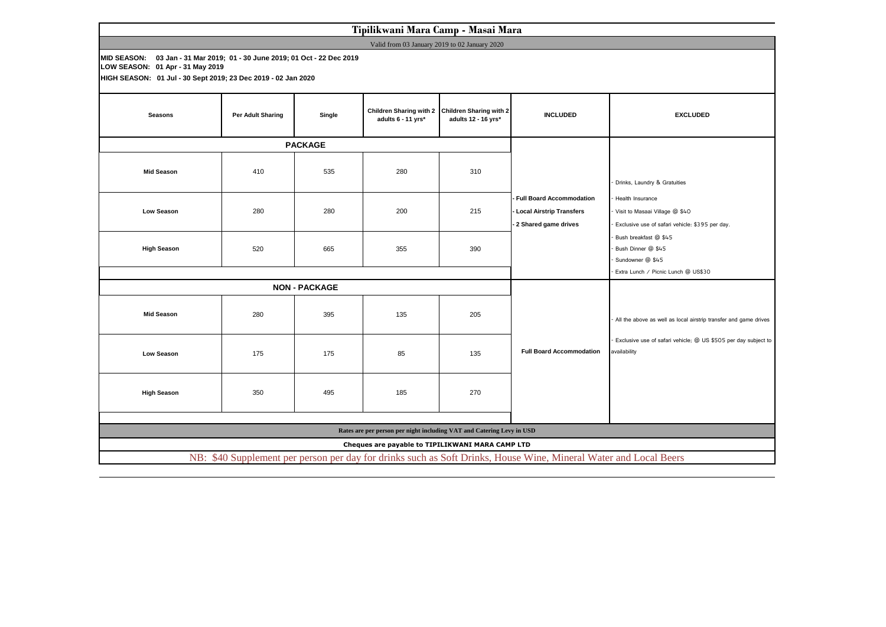# **Tipilikwani Mara Camp - Masai Mara**

Valid from 03 January 2019 to 02 January 2020

**MID SEASON: 03 Jan - 31 Mar 2019; 01 - 30 June 2019; 01 Oct - 22 Dec 2019 LOW SEASON: 01 Apr - 31 May 2019**

**HIGH SEASON: 01 Jul - 30 Sept 2019; 23 Dec 2019 - 02 Jan 2020**

| <b>Seasons</b>                                                                                                   | Per Adult Sharing    | Single | <b>Children Sharing with 2</b><br>adults 6 - 11 yrs* | <b>Children Sharing with 2</b><br>adults 12 - 16 yrs* | <b>INCLUDED</b>                                                                         | <b>EXCLUDED</b>                                                                                       |  |
|------------------------------------------------------------------------------------------------------------------|----------------------|--------|------------------------------------------------------|-------------------------------------------------------|-----------------------------------------------------------------------------------------|-------------------------------------------------------------------------------------------------------|--|
|                                                                                                                  | <b>PACKAGE</b>       |        |                                                      |                                                       |                                                                                         |                                                                                                       |  |
| <b>Mid Season</b>                                                                                                | 410                  | 535    | 280                                                  | 310                                                   |                                                                                         | Drinks, Laundry & Gratuities                                                                          |  |
| Low Season                                                                                                       | 280                  | 280    | 200                                                  | 215                                                   | <b>Full Board Accommodation</b><br>- Local Airstrip Transfers<br>- 2 Shared game drives | Health Insurance<br>Visit to Masaai Village @ \$40<br>Exclusive use of safari vehicle: \$395 per day. |  |
| <b>High Season</b>                                                                                               | 520                  | 665    | 355                                                  | 390                                                   |                                                                                         | Bush breakfast @ \$45<br>Bush Dinner @ \$45<br>Sundowner @ \$45                                       |  |
|                                                                                                                  |                      |        | Extra Lunch / Picnic Lunch @ US\$30                  |                                                       |                                                                                         |                                                                                                       |  |
|                                                                                                                  | <b>NON - PACKAGE</b> |        |                                                      |                                                       |                                                                                         |                                                                                                       |  |
| <b>Mid Season</b>                                                                                                | 280                  | 395    | 135                                                  | 205                                                   |                                                                                         | All the above as well as local airstrip transfer and game drives                                      |  |
| Low Season                                                                                                       | 175                  | 175    | 85                                                   | 135                                                   | <b>Full Board Accommodation</b>                                                         | Exclusive use of safari vehicle; @ US \$505 per day subject to<br>availability                        |  |
| <b>High Season</b>                                                                                               | 350                  | 495    | 185                                                  | 270                                                   |                                                                                         |                                                                                                       |  |
|                                                                                                                  |                      |        |                                                      |                                                       |                                                                                         |                                                                                                       |  |
| Rates are per person per night including VAT and Catering Levy in USD                                            |                      |        |                                                      |                                                       |                                                                                         |                                                                                                       |  |
| Cheques are payable to TIPILIKWANI MARA CAMP LTD                                                                 |                      |        |                                                      |                                                       |                                                                                         |                                                                                                       |  |
| NB: \$40 Supplement per person per day for drinks such as Soft Drinks, House Wine, Mineral Water and Local Beers |                      |        |                                                      |                                                       |                                                                                         |                                                                                                       |  |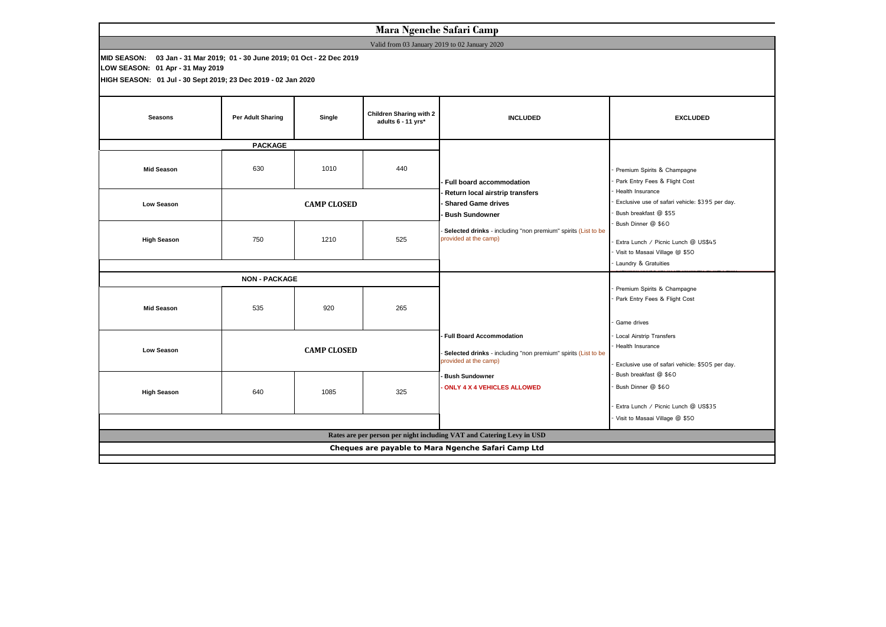| Mara Ngenche Safari Camp                                                                                                                                                       |                    |                    |                                                                                                                           |                                                                                                        |                                                                                                                                                                                    |
|--------------------------------------------------------------------------------------------------------------------------------------------------------------------------------|--------------------|--------------------|---------------------------------------------------------------------------------------------------------------------------|--------------------------------------------------------------------------------------------------------|------------------------------------------------------------------------------------------------------------------------------------------------------------------------------------|
| Valid from 03 January 2019 to 02 January 2020                                                                                                                                  |                    |                    |                                                                                                                           |                                                                                                        |                                                                                                                                                                                    |
| MID SEASON: 03 Jan - 31 Mar 2019; 01 - 30 June 2019; 01 Oct - 22 Dec 2019<br>LOW SEASON: 01 Apr - 31 May 2019<br>HIGH SEASON: 01 Jul - 30 Sept 2019; 23 Dec 2019 - 02 Jan 2020 |                    |                    |                                                                                                                           |                                                                                                        |                                                                                                                                                                                    |
| <b>Seasons</b>                                                                                                                                                                 | Per Adult Sharing  | Single             | <b>Children Sharing with 2</b><br>adults 6 - 11 yrs*                                                                      | <b>INCLUDED</b>                                                                                        | <b>EXCLUDED</b>                                                                                                                                                                    |
| <b>PACKAGE</b>                                                                                                                                                                 |                    |                    |                                                                                                                           |                                                                                                        |                                                                                                                                                                                    |
| <b>Mid Season</b>                                                                                                                                                              | 630                | 1010               | 440                                                                                                                       | Full board accommodation                                                                               | Premium Spirits & Champagne<br>Park Entry Fees & Flight Cost<br>Health Insurance<br>Exclusive use of safari vehicle: \$395 per day.<br>Bush breakfast @ \$55<br>Bush Dinner @ \$60 |
| Low Season                                                                                                                                                                     |                    | <b>CAMP CLOSED</b> |                                                                                                                           | Return local airstrip transfers<br><b>Shared Game drives</b><br><b>Bush Sundowner</b>                  |                                                                                                                                                                                    |
| <b>High Season</b>                                                                                                                                                             | 750                | 1210               | 525                                                                                                                       | Selected drinks - including "non premium" spirits (List to be<br>provided at the camp)                 | Extra Lunch / Picnic Lunch @ US\$45<br>Visit to Masaai Village @ \$50<br>Laundry & Gratuities                                                                                      |
| <b>NON - PACKAGE</b>                                                                                                                                                           |                    |                    |                                                                                                                           |                                                                                                        |                                                                                                                                                                                    |
| <b>Mid Season</b>                                                                                                                                                              | 535                | 920                | 265                                                                                                                       |                                                                                                        | Premium Spirits & Champagne<br>Park Entry Fees & Flight Cost<br>Game drives                                                                                                        |
| <b>Low Season</b>                                                                                                                                                              | <b>CAMP CLOSED</b> |                    | <b>Full Board Accommodation</b><br>Selected drinks - including "non premium" spirits (List to be<br>provided at the camp) | <b>Local Airstrip Transfers</b><br>Health Insurance<br>Exclusive use of safari vehicle: \$505 per day. |                                                                                                                                                                                    |
| <b>High Season</b>                                                                                                                                                             | 640                | 1085               | 325                                                                                                                       | <b>Bush Sundowner</b><br><b>ONLY 4 X 4 VEHICLES ALLOWED</b>                                            | Bush breakfast @ \$60<br>Bush Dinner @ \$60<br>Extra Lunch / Picnic Lunch @ US\$35                                                                                                 |
|                                                                                                                                                                                |                    |                    |                                                                                                                           | Visit to Masaai Village @ \$50                                                                         |                                                                                                                                                                                    |
| Rates are per person per night including VAT and Catering Levy in USD                                                                                                          |                    |                    |                                                                                                                           |                                                                                                        |                                                                                                                                                                                    |
| Cheques are payable to Mara Ngenche Safari Camp Ltd                                                                                                                            |                    |                    |                                                                                                                           |                                                                                                        |                                                                                                                                                                                    |